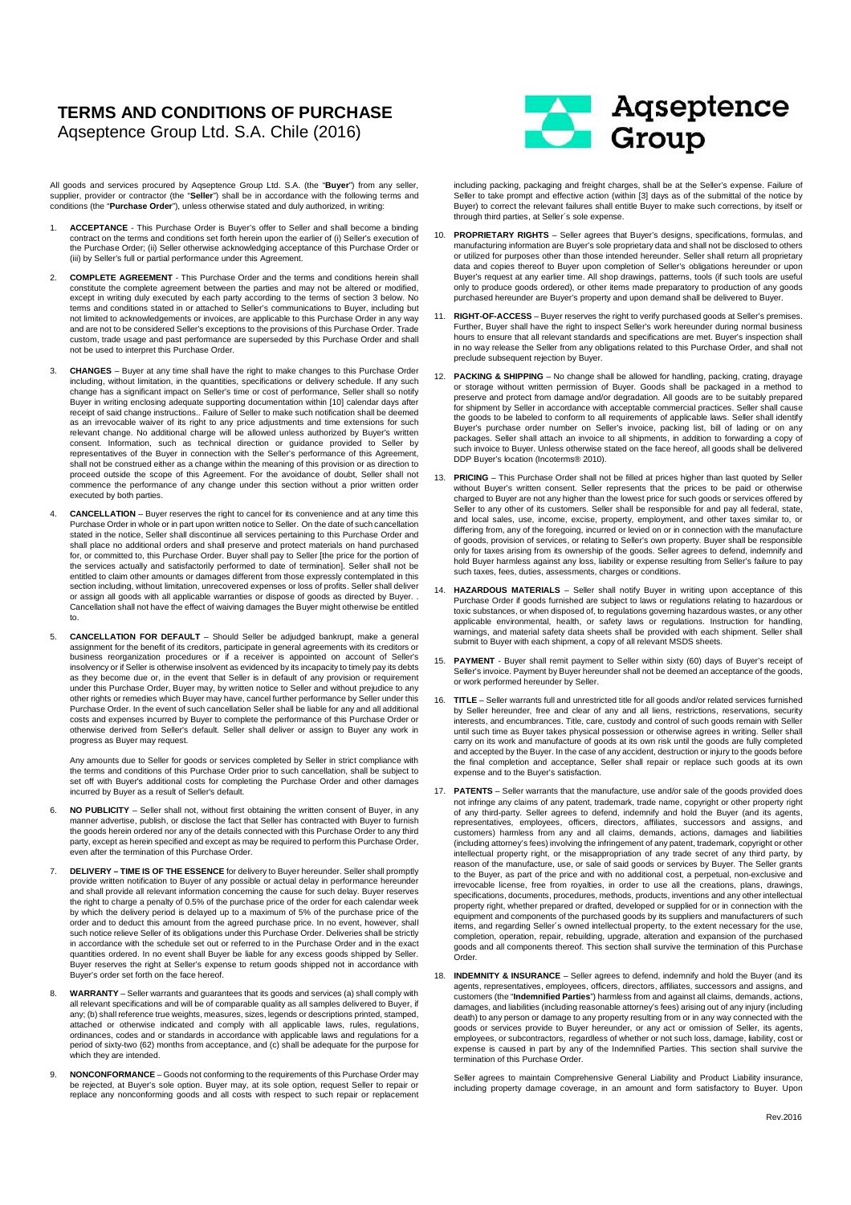## **TERMS AND CONDITIONS OF PURCHASE**  Aqseptence Group Ltd. S.A. Chile (2016)

All goods and services procured by Aqseptence Group Ltd. S.A. (the "**Buyer**") from any seller, supplier, provider or contractor (the "**Seller**") shall be in accordance with the following terms and conditions (the "**Purchase Order**"), unless otherwise stated and duly authorized, in writing:

- 1. **ACCEPTANCE** This Purchase Order is Buyer's offer to Seller and shall become a binding contract on the terms and conditions set forth herein upon the earlier of (i) Seller's execution of the Purchase Order; (ii) Seller otherwise acknowledging acceptance of this Purchase Order or (iii) by Seller's full or partial performance under this Agreement.
- 2. **COMPLETE AGREEMENT** This Purchase Order and the terms and conditions herein shall constitute the complete agreement between the parties and may not be altered or modified, except in writing duly executed by each party according to the terms of section 3 below. No terms and conditions stated in or attached to Seller's communications to Buyer, including but not limited to acknowledgements or invoices, are applicable to this Purchase Order in any way and are not to be considered Seller's exceptions to the provisions of this Purchase Order. Trade custom, trade usage and past performance are superseded by this Purchase Order and shall not be used to interpret this Purchase Order.
- 3. **CHANGES** Buyer at any time shall have the right to make changes to this Purchase Order including, without limitation, in the quantities, specifications or delivery schedule. If any such change has a significant impact on Seller's time or cost of performance, Seller shall so notify Buyer in writing enclosing adequate supporting documentation within [10] calendar days after receipt of said change instructions.. Failure of Seller to make such notification shall be deemed as an irrevocable waiver of its right to any price adjustments and time extensions for such relevant change. No additional charge will be allowed unless authorized by Buyer's written consent. Information, such as technical direction or guidance provided to Seller by representatives of the Buyer in connection with the Seller's performance of this Agreement, shall not be construed either as a change within the meaning of this provision or as direction to proceed outside the scope of this Agreement. For the avoidance of doubt, Seller shall not commence the performance of any change under this section without a prior written order executed by both parties.
- 4. **CANCELLATION** Buyer reserves the right to cancel for its convenience and at any time this Purchase Order in whole or in part upon written notice to Seller. On the date of such cancellation stated in the notice, Seller shall discontinue all services pertaining to this Purchase Order and shall place no additional orders and shall preserve and protect materials on hand purchased for, or committed to, this Purchase Order. Buyer shall pay to Seller [the price for the portion of the services actually and satisfactorily performed to date of termination]. Seller shall not be entitled to claim other amounts or damages different from those expressly contemplated in this section including, without limitation, unrecovered expenses or loss of profits. Seller shall deliver or assign all goods with all applicable warranties or dispose of goods as directed by Buyer. Cancellation shall not have the effect of waiving damages the Buyer might otherwise be entitled to.
- 5. **CANCELLATION FOR DEFAULT** Should Seller be adjudged bankrupt, make a general assignment for the benefit of its creditors, participate in general agreements with its creditors or business reorganization procedures or if a receiver is appointed on account of Seller's insolvency or if Seller is otherwise insolvent as evidenced by its incapacity to timely pay its debts as they become due or, in the event that Seller is in default of any provision or requirement under this Purchase Order, Buyer may, by written notice to Seller and without prejudice to any other rights or remedies which Buyer may have, cancel further performance by Seller under this Purchase Order. In the event of such cancellation Seller shall be liable for any and all additional costs and expenses incurred by Buyer to complete the performance of this Purchase Order or otherwise derived from Seller's default. Seller shall deliver or assign to Buyer any work in progress as Buyer may request.

Any amounts due to Seller for goods or services completed by Seller in strict compliance with the terms and conditions of this Purchase Order prior to such cancellation, shall be subject to set off with Buyer's additional costs for completing the Purchase Order and other damages incurred by Buyer as a result of Seller's default.

- 6. **NO PUBLICITY** Seller shall not, without first obtaining the written consent of Buyer, in any manner advertise, publish, or disclose the fact that Seller has contracted with Buyer to furnish the goods herein ordered nor any of the details connected with this Purchase Order to any third party, except as herein specified and except as may be required to perform this Purchase Order, even after the termination of this Purchase Order.
- 7. **DELIVERY TIME IS OF THE ESSENCE** for delivery to Buyer hereunder. Seller shall promptly provide written notification to Buyer of any possible or actual delay in performance hereunder and shall provide all relevant information concerning the cause for such delay. Buyer reserves the right to charge a penalty of 0.5% of the purchase price of the order for each calendar week by which the delivery period is delayed up to a maximum of 5% of the purchase price of the order and to deduct this amount from the agreed purchase price. In no event, however, shall such notice relieve Seller of its obligations under this Purchase Order. Deliveries shall be strictly in accordance with the schedule set out or referred to in the Purchase Order and in the exact quantities ordered. In no event shall Buyer be liable for any excess goods shipped by Seller. Buyer reserves the right at Seller's expense to return goods shipped not in accordance with Buyer's order set forth on the face hereof.
- 8. **WARRANTY** Seller warrants and guarantees that its goods and services (a) shall comply with all relevant specifications and will be of comparable quality as all samples delivered to Buyer, if any; (b) shall reference true weights, measures, sizes, legends or descriptions printed, stamped, attached or otherwise indicated and comply with all applicable laws, rules, regulations, ordinances, codes and or standards in accordance with applicable laws and regulations for a period of sixty-two (62) months from acceptance, and (c) shall be adequate for the purpose for which they are intended.
- 9. **NONCONFORMANCE** Goods not conforming to the requirements of this Purchase Order may be rejected, at Buyer's sole option. Buyer may, at its sole option, request Seller to repair or replace any nonconforming goods and all costs with respect to such repair or replacement



including packing, packaging and freight charges, shall be at the Seller's expense. Failure of Seller to take prompt and effective action (within [3] days as of the submittal of the notice by Buyer) to correct the relevant failures shall entitle Buyer to make such corrections, by itself or through third parties, at Seller´s sole expense.

- 10. **PROPRIETARY RIGHTS** Seller agrees that Buyer's designs, specifications, formulas, and manufacturing information are Buyer's sole proprietary data and shall not be disclosed to others or utilized for purposes other than those intended hereunder. Seller shall return all proprietary data and copies thereof to Buyer upon completion of Seller's obligations hereunder or upon Buyer's request at any earlier time. All shop drawings, patterns, tools (if such tools are useful only to produce goods ordered), or other items made preparatory to production of any goods purchased hereunder are Buyer's property and upon demand shall be delivered to Buyer
- RIGHT-OF-ACCESS Buyer reserves the right to verify purchased goods at Seller's premises. Further, Buyer shall have the right to inspect Seller's work hereunder during normal business hours to ensure that all relevant standards and specifications are met. Buyer's inspection shall in no way release the Seller from any obligations related to this Purchase Order, and shall not preclude subsequent rejection by Buyer.
- 12. **PACKING & SHIPPING** No change shall be allowed for handling, packing, crating, drayage or storage without written permission of Buyer. Goods shall be packaged in a method to preserve and protect from damage and/or degradation. All goods are to be suitably prepared for shipment by Seller in accordance with acceptable commercial practices. Seller shall cause the goods to be labeled to conform to all requirements of applicable laws. Seller shall identify Buyer's purchase order number on Seller's invoice, packing list, bill of lading or on any packages. Seller shall attach an invoice to all shipments, in addition to forwarding a copy of such invoice to Buyer. Unless otherwise stated on the face hereof, all goods shall be delive DDP Buyer's location (Incoterms® 2010).
- 13. **PRICING** This Purchase Order shall not be filled at prices higher than last quoted by Seller without Buyer's written consent. Seller represents that the prices to be paid or otherwise charged to Buyer are not any higher than the lowest price for such goods or services offered by Seller to any other of its customers. Seller shall be responsible for and pay all federal, state and local sales, use, income, excise, property, employment, and other taxes similar to, or differing from, any of the foregoing, incurred or levied on or in connection with the manufacture of goods, provision of services, or relating to Seller's own property. Buyer shall be responsible only for taxes arising from its ownership of the goods. Seller agrees to defend, indemnify and hold Buyer harmless against any loss, liability or expense resulting from Seller's failure to pay such taxes, fees, duties, assessments, charges or conditions.
- HAZARDOUS MATERIALS Seller shall notify Buyer in writing upon acceptance of this Purchase Order if goods furnished are subject to laws or regulations relating to hazardous or toxic substances, or when disposed of, to regulations governing hazardous wastes, or any other applicable environmental, health, or safety laws or regulations. Instruction for handling, warnings, and material safety data sheets shall be provided with each shipment. Seller shall submit to Buyer with each shipment, a copy of all relevant MSDS sheets.
- 15. **PAYMENT** Buyer shall remit payment to Seller within sixty (60) days of Buyer's receipt of Seller's invoice. Payment by Buyer hereunder shall not be deemed an acceptance of the goods, or work performed hereunder by Seller.
- 16. **TITLE** Seller warrants full and unrestricted title for all goods and/or related services furnished by Seller hereunder, free and clear of any and all liens, restrictions, reservations, security interests, and encumbrances. Title, care, custody and control of such goods remain with Seller until such time as Buyer takes physical possession or otherwise agrees in writing. Seller shall carry on its work and manufacture of goods at its own risk until the goods are fully completed and accepted by the Buyer. In the case of any accident, destruction or injury to the goods before the final completion and acceptance, Seller shall repair or replace such goods at its own expense and to the Buyer's satisfaction.
- 17. **PATENTS** Seller warrants that the manufacture, use and/or sale of the goods provided does not infringe any claims of any patent, trademark, trade name, copyright or other property right of any third-party. Seller agrees to defend, indemnify and hold the Buyer (and its agents, representatives, employees, officers, directors, affiliates, successors and assigns, and customers) harmless from any and all claims, demands, actions, damages and liabilities (including attorney's fees) involving the infringement of any patent, trademark, copyright or other intellectual property right, or the misappropriation of any trade secret of any third party, by reason of the manufacture, use, or sale of said goods or services by Buyer. The Seller grants to the Buyer, as part of the price and with no additional cost, a perpetual, non-exclusive and irrevocable license, free from royalties, in order to use all the creations, plans, drawings, specifications, documents, procedures, methods, products, inventions and any other intellectual property right, whether prepared or drafted, developed or supplied for or in connection with the equipment and components of the purchased goods by its suppliers and manufacturers of such items, and regarding Seller´s owned intellectual property, to the extent necessary for the use, completion, operation, repair, rebuilding, upgrade, alteration and expansion of the purchased goods and all components thereof. This section shall survive the termination of this Purchase Order.
- 18. **INDEMNITY & INSURANCE** Seller agrees to defend, indemnify and hold the Buyer (and its agents, representatives, employees, officers, directors, affiliates, successors and assigns, and customers (the "**Indemnified Parties**") harmless from and against all claims, demands, actions, damages, and liabilities (including reasonable attorney's fees) arising out of any injury (including death) to any person or damage to any property resulting from or in any way connected with the goods or services provide to Buyer hereunder, or any act or omission of Seller, its agents, employees, or subcontractors, regardless of whether or not such loss, damage, liability, cost or expense is caused in part by any of the Indemnified Parties. This section shall survive the termination of this Purchase Order.

Seller agrees to maintain Comprehensive General Liability and Product Liability insurance, including property damage coverage, in an amount and form satisfactory to Buyer. Upon